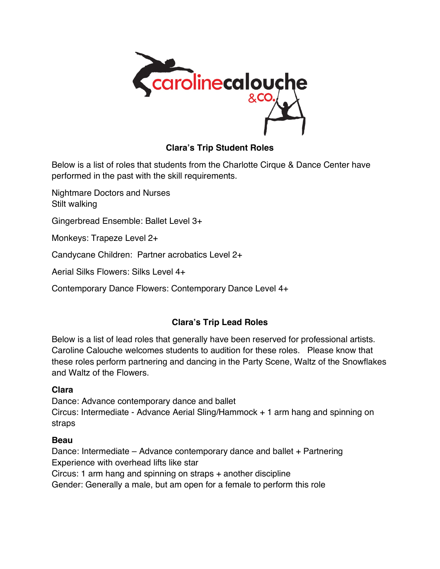

# **Clara's Trip Student Roles**

Below is a list of roles that students from the Charlotte Cirque & Dance Center have performed in the past with the skill requirements.

Nightmare Doctors and Nurses Stilt walking Gingerbread Ensemble: Ballet Level 3+

Monkeys: Trapeze Level 2+

Candycane Children: Partner acrobatics Level 2+

Aerial Silks Flowers: Silks Level 4+

Contemporary Dance Flowers: Contemporary Dance Level 4+

## **Clara's Trip Lead Roles**

Below is a list of lead roles that generally have been reserved for professional artists. Caroline Calouche welcomes students to audition for these roles. Please know that these roles perform partnering and dancing in the Party Scene, Waltz of the Snowflakes and Waltz of the Flowers.

## **Clara**

Dance: Advance contemporary dance and ballet Circus: Intermediate - Advance Aerial Sling/Hammock + 1 arm hang and spinning on straps

## **Beau**

Dance: Intermediate – Advance contemporary dance and ballet + Partnering Experience with overhead lifts like star Circus: 1 arm hang and spinning on straps + another discipline Gender: Generally a male, but am open for a female to perform this role